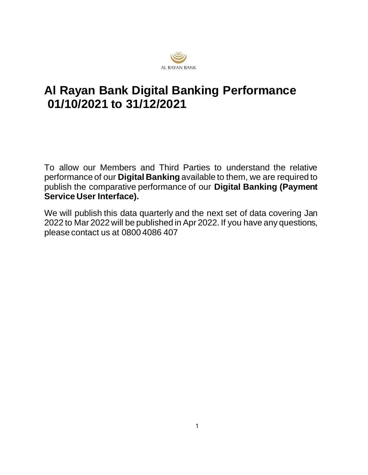

## **Al Rayan Bank Digital Banking Performance 01/10/2021 to 31/12/2021**

To allow our Members and Third Parties to understand the relative performance of our **Digital Banking** available to them, we are required to publish the comparative performance of our **Digital Banking (Payment Service User Interface).**

We will publish this data quarterly and the next set of data covering Jan 2022 to Mar 2022 will be published in Apr 2022. If you have any questions, please contact us at 0800 4086 407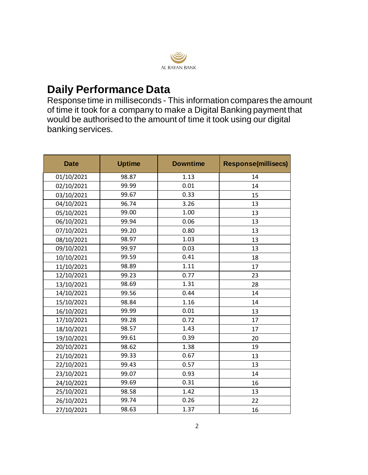

## **Daily Performance Data**

Response time in milliseconds - This information compares the amount of time it took for a company to make a Digital Banking payment that would be authorised to the amount of time it took using our digital banking services.

| <b>Date</b> | <b>Uptime</b> | <b>Downtime</b> | <b>Response(millisecs)</b> |
|-------------|---------------|-----------------|----------------------------|
| 01/10/2021  | 98.87         | 1.13            | 14                         |
| 02/10/2021  | 99.99         | 0.01            | 14                         |
| 03/10/2021  | 99.67         | 0.33            | 15                         |
| 04/10/2021  | 96.74         | 3.26            | 13                         |
| 05/10/2021  | 99.00         | 1.00            | 13                         |
| 06/10/2021  | 99.94         | 0.06            | 13                         |
| 07/10/2021  | 99.20         | 0.80            | 13                         |
| 08/10/2021  | 98.97         | 1.03            | 13                         |
| 09/10/2021  | 99.97         | 0.03            | 13                         |
| 10/10/2021  | 99.59         | 0.41            | 18                         |
| 11/10/2021  | 98.89         | 1.11            | 17                         |
| 12/10/2021  | 99.23         | 0.77            | 23                         |
| 13/10/2021  | 98.69         | 1.31            | 28                         |
| 14/10/2021  | 99.56         | 0.44            | 14                         |
| 15/10/2021  | 98.84         | 1.16            | 14                         |
| 16/10/2021  | 99.99         | 0.01            | 13                         |
| 17/10/2021  | 99.28         | 0.72            | 17                         |
| 18/10/2021  | 98.57         | 1.43            | 17                         |
| 19/10/2021  | 99.61         | 0.39            | 20                         |
| 20/10/2021  | 98.62         | 1.38            | 19                         |
| 21/10/2021  | 99.33         | 0.67            | 13                         |
| 22/10/2021  | 99.43         | 0.57            | 13                         |
| 23/10/2021  | 99.07         | 0.93            | 14                         |
| 24/10/2021  | 99.69         | 0.31            | 16                         |
| 25/10/2021  | 98.58         | 1.42            | 13                         |
| 26/10/2021  | 99.74         | 0.26            | 22                         |
| 27/10/2021  | 98.63         | 1.37            | 16                         |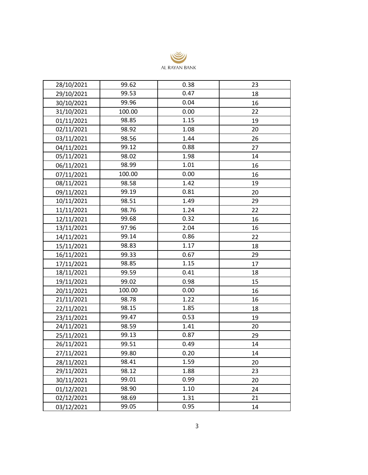

| 28/10/2021 | 99.62  | 0.38 | 23 |
|------------|--------|------|----|
| 29/10/2021 | 99.53  | 0.47 | 18 |
| 30/10/2021 | 99.96  | 0.04 | 16 |
| 31/10/2021 | 100.00 | 0.00 | 22 |
| 01/11/2021 | 98.85  | 1.15 | 19 |
| 02/11/2021 | 98.92  | 1.08 | 20 |
| 03/11/2021 | 98.56  | 1.44 | 26 |
| 04/11/2021 | 99.12  | 0.88 | 27 |
| 05/11/2021 | 98.02  | 1.98 | 14 |
| 06/11/2021 | 98.99  | 1.01 | 16 |
| 07/11/2021 | 100.00 | 0.00 | 16 |
| 08/11/2021 | 98.58  | 1.42 | 19 |
| 09/11/2021 | 99.19  | 0.81 | 20 |
| 10/11/2021 | 98.51  | 1.49 | 29 |
| 11/11/2021 | 98.76  | 1.24 | 22 |
| 12/11/2021 | 99.68  | 0.32 | 16 |
| 13/11/2021 | 97.96  | 2.04 | 16 |
| 14/11/2021 | 99.14  | 0.86 | 22 |
| 15/11/2021 | 98.83  | 1.17 | 18 |
| 16/11/2021 | 99.33  | 0.67 | 29 |
| 17/11/2021 | 98.85  | 1.15 | 17 |
| 18/11/2021 | 99.59  | 0.41 | 18 |
| 19/11/2021 | 99.02  | 0.98 | 15 |
| 20/11/2021 | 100.00 | 0.00 | 16 |
| 21/11/2021 | 98.78  | 1.22 | 16 |
| 22/11/2021 | 98.15  | 1.85 | 18 |
| 23/11/2021 | 99.47  | 0.53 | 19 |
| 24/11/2021 | 98.59  | 1.41 | 20 |
| 25/11/2021 | 99.13  | 0.87 | 29 |
| 26/11/2021 | 99.51  | 0.49 | 14 |
| 27/11/2021 | 99.80  | 0.20 | 14 |
| 28/11/2021 | 98.41  | 1.59 | 20 |
| 29/11/2021 | 98.12  | 1.88 | 23 |
| 30/11/2021 | 99.01  | 0.99 | 20 |
| 01/12/2021 | 98.90  | 1.10 | 24 |
| 02/12/2021 | 98.69  | 1.31 | 21 |
| 03/12/2021 | 99.05  | 0.95 | 14 |